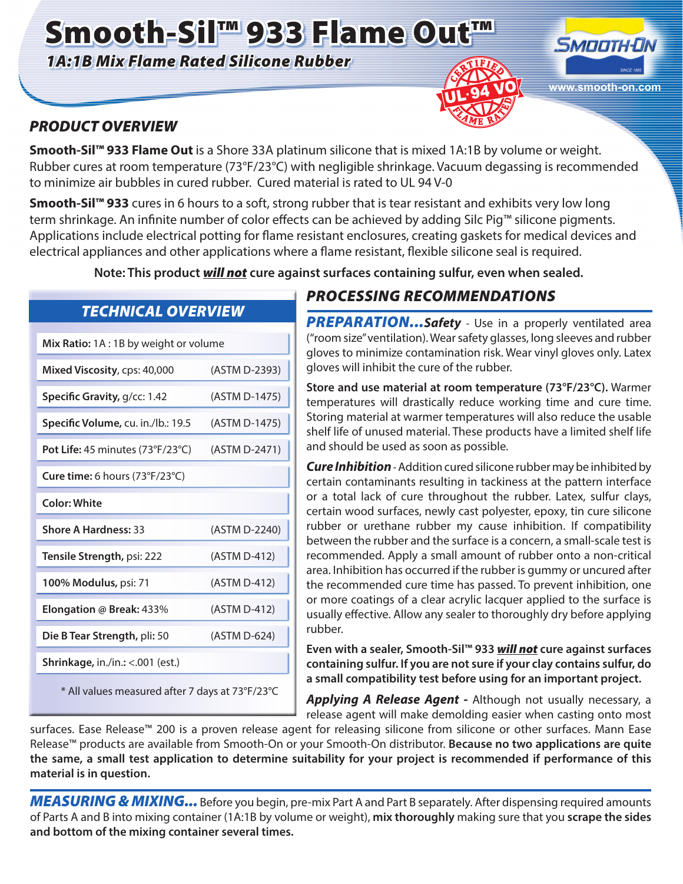# Smooth-Sil™ 933 Flame Out™

*1A:1B Mix Flame Rated Silicone Rubber*



#### *PRODUCT OVERVIEW*

**Smooth-Sil™ 933 Flame Out** is a Shore 33A platinum silicone that is mixed 1A:1B by volume or weight. Rubber cures at room temperature (73°F/23°C) with negligible shrinkage. Vacuum degassing is recommended to minimize air bubbles in cured rubber. Cured material is rated to UL 94 V-0

**Smooth-Sil™ 933** cures in 6 hours to a soft, strong rubber that is tear resistant and exhibits very low long term shrinkage. An infinite number of color effects can be achieved by adding Silc Pig™ silicone pigments. Applications include electrical potting for flame resistant enclosures, creating gaskets for medical devices and electrical appliances and other applications where a flame resistant, flexible silicone seal is required.

**Note: This product** *will not* **cure against surfaces containing sulfur, even when sealed.**

| <b>TECHNICAL OVERVIEW</b> |  |
|---------------------------|--|
|                           |  |
|                           |  |

| Mix Ratio: 1A: 1B by weight or volume                 |               |  |  |
|-------------------------------------------------------|---------------|--|--|
| Mixed Viscosity, cps: 40,000                          | (ASTM D-2393) |  |  |
| Specific Gravity, g/cc: 1.42                          | (ASTM D-1475) |  |  |
| Specific Volume, cu. in./lb.: 19.5                    | (ASTM D-1475) |  |  |
| Pot Life: 45 minutes $(73°F/23°C)$                    | (ASTM D-2471) |  |  |
| <b>Cure time:</b> 6 hours $(73^{\circ}F/23^{\circ}C)$ |               |  |  |
| <b>Color: White</b>                                   |               |  |  |
| <b>Shore A Hardness: 33</b>                           | (ASTM D-2240) |  |  |
| Tensile Strength, psi: 222                            | (ASTM D-412)  |  |  |
| 100% Modulus, psi: 71                                 | (ASTM D-412)  |  |  |
| Elongation @ Break: 433%                              | (ASTM D-412)  |  |  |
| Die B Tear Strength, pli: 50                          | (ASTM D-624)  |  |  |
| Shrinkage, in./in.: <. 001 (est.)                     |               |  |  |
| * All values measured after 7 days at 73°F/23°C       |               |  |  |

## *PROCESSING RECOMMENDATIONS*

**PREPARATION...Safety** - Use in a properly ventilated area ("room size" ventilation). Wear safety glasses, long sleeves and rubber gloves to minimize contamination risk. Wear vinyl gloves only. Latex gloves will inhibit the cure of the rubber.

**Store and use material at room temperature (73°F/23°C).** Warmer temperatures will drastically reduce working time and cure time. Storing material at warmer temperatures will also reduce the usable shelf life of unused material. These products have a limited shelf life and should be used as soon as possible.

*Cure Inhibition* - Addition cured silicone rubber may be inhibited by certain contaminants resulting in tackiness at the pattern interface or a total lack of cure throughout the rubber. Latex, sulfur clays, certain wood surfaces, newly cast polyester, epoxy, tin cure silicone rubber or urethane rubber my cause inhibition. If compatibility between the rubber and the surface is a concern, a small-scale test is recommended. Apply a small amount of rubber onto a non-critical area. Inhibition has occurred if the rubber is gummy or uncured after the recommended cure time has passed. To prevent inhibition, one or more coatings of a clear acrylic lacquer applied to the surface is usually effective. Allow any sealer to thoroughly dry before applying rubber.

**Even with a sealer, Smooth-Sil™ 933** *will not* **cure against surfaces containing sulfur. If you are not sure if your clay contains sulfur, do a small compatibility test before using for an important project.**

*Applying A Release Agent -* Although not usually necessary, a release agent will make demolding easier when casting onto most

surfaces. Ease Release™ 200 is a proven release agent for releasing silicone from silicone or other surfaces. Mann Ease Release™ products are available from Smooth-On or your Smooth-On distributor. **Because no two applications are quite the same, a small test application to determine suitability for your project is recommended if performance of this material is in question.** 

*MEASURING & MIXING...* Before you begin, pre-mix Part A and Part B separately. After dispensing required amounts of Parts A and B into mixing container (1A:1B by volume or weight), **mix thoroughly** making sure that you **scrape the sides and bottom of the mixing container several times.**